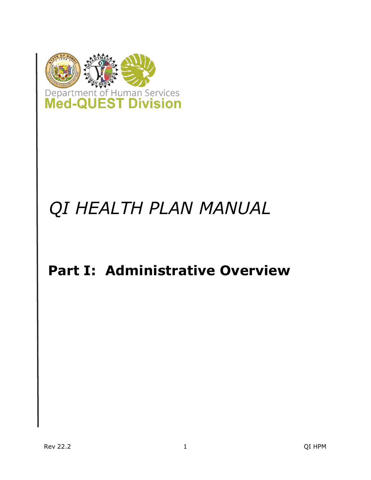

## *QI HEALTH PLAN MANUAL*

### <span id="page-0-0"></span>**Part I: Administrative Overview**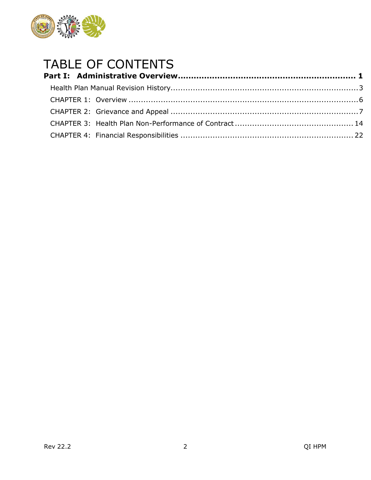

# TABLE OF CONTENTS<br>Part I: Administrative Overview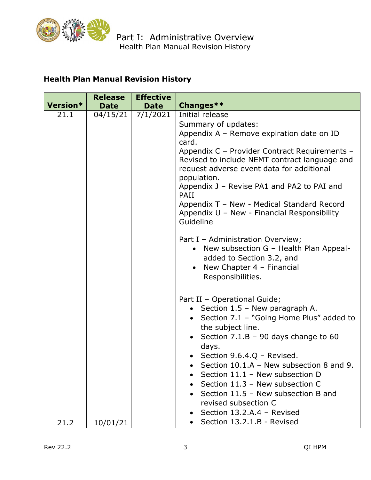

#### <span id="page-2-0"></span>**Health Plan Manual Revision History**

|          | <b>Release</b> | <b>Effective</b> |                                                                                                                                                                                    |
|----------|----------------|------------------|------------------------------------------------------------------------------------------------------------------------------------------------------------------------------------|
| Version* | <b>Date</b>    | <b>Date</b>      | Changes**                                                                                                                                                                          |
| 21.1     | 04/15/21       | 7/1/2021         | Initial release                                                                                                                                                                    |
|          |                |                  | Summary of updates:<br>Appendix A - Remove expiration date on ID<br>card.                                                                                                          |
|          |                |                  | Appendix C - Provider Contract Requirements -<br>Revised to include NEMT contract language and<br>request adverse event data for additional<br>population.                         |
|          |                |                  | Appendix J - Revise PA1 and PA2 to PAI and<br>PAII                                                                                                                                 |
|          |                |                  | Appendix T - New - Medical Standard Record<br>Appendix U - New - Financial Responsibility<br>Guideline                                                                             |
|          |                |                  | Part I - Administration Overview;<br>• New subsection G - Health Plan Appeal-<br>added to Section 3.2, and<br>New Chapter $4$ – Financial<br>$\bullet$<br>Responsibilities.        |
|          |                |                  | Part II - Operational Guide;<br>Section 1.5 - New paragraph A.<br>Section 7.1 - "Going Home Plus" added to<br>the subject line.<br>Section $7.1.B - 90$ days change to 60<br>days. |
|          |                |                  | • Section $9.6.4.Q$ – Revised.<br>Section $10.1.A - New subsection 8 and 9.$<br>Section 11.1 - New subsection D                                                                    |
|          |                |                  | Section 11.3 - New subsection C<br>Section 11.5 - New subsection B and<br>revised subsection C                                                                                     |
| 21.2     | 10/01/21       |                  | Section 13.2.A.4 - Revised<br>Section 13.2.1.B - Revised                                                                                                                           |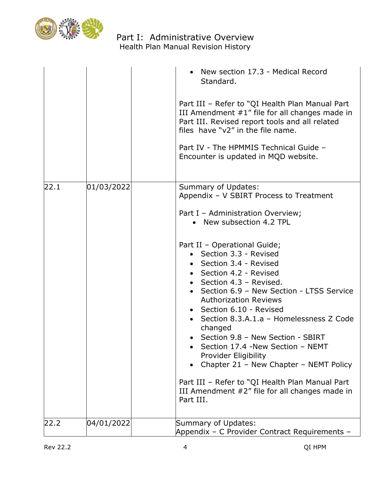

#### Part I: Administrative Overview Health Plan Manual Revision History

|      |            | • New section 17.3 - Medical Record<br>Standard.<br>Part III - Refer to "QI Health Plan Manual Part<br>III Amendment #1" file for all changes made in<br>Part III. Revised report tools and all related<br>files have "v2" in the file name.<br>Part IV - The HPMMIS Technical Guide -<br>Encounter is updated in MQD website.                                                                                                                                                                                                                                                                                                                                                                              |
|------|------------|-------------------------------------------------------------------------------------------------------------------------------------------------------------------------------------------------------------------------------------------------------------------------------------------------------------------------------------------------------------------------------------------------------------------------------------------------------------------------------------------------------------------------------------------------------------------------------------------------------------------------------------------------------------------------------------------------------------|
| 22.1 | 01/03/2022 | Summary of Updates:<br>Appendix - V SBIRT Process to Treatment<br>Part I - Administration Overview;<br>• New subsection 4.2 TPL<br>Part II - Operational Guide;<br>• Section 3.3 - Revised<br>• Section 3.4 - Revised<br>• Section 4.2 - Revised<br>• Section 4.3 - Revised.<br>• Section 6.9 - New Section - LTSS Service<br><b>Authorization Reviews</b><br>• Section 6.10 - Revised<br>• Section 8.3.A.1.a - Homelessness Z Code<br>changed<br>Section 9.8 - New Section - SBIRT<br>Section 17.4 -New Section - NEMT<br>Provider Eligibility<br>Chapter 21 - New Chapter - NEMT Policy<br>Part III - Refer to "QI Health Plan Manual Part<br>III Amendment #2" file for all changes made in<br>Part III. |
| 22.2 | 04/01/2022 | Summary of Updates:<br>Appendix - C Provider Contract Requirements -                                                                                                                                                                                                                                                                                                                                                                                                                                                                                                                                                                                                                                        |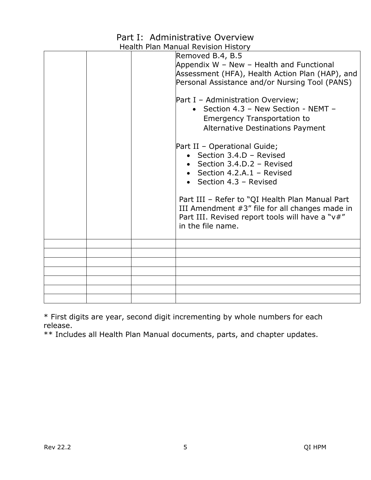### Part I: Administrative Overview

|  | Health Pian Manual Revision History                                                                                                                                                                                                                                                                                                                                                                                      |
|--|--------------------------------------------------------------------------------------------------------------------------------------------------------------------------------------------------------------------------------------------------------------------------------------------------------------------------------------------------------------------------------------------------------------------------|
|  | Removed B.4, B.5<br>Appendix W - New - Health and Functional<br>Assessment (HFA), Health Action Plan (HAP), and<br>Personal Assistance and/or Nursing Tool (PANS)<br>Part I - Administration Overview;<br>• Section 4.3 - New Section - NEMT -<br><b>Emergency Transportation to</b><br>Alternative Destinations Payment<br>Part II - Operational Guide;<br>• Section $3.4.D - Revised$<br>• Section $3.4.D.2$ – Revised |
|  | • Section 4.2.A.1 – Revised<br>• Section $4.3$ – Revised<br>Part III - Refer to "QI Health Plan Manual Part<br>III Amendment #3" file for all changes made in<br>Part III. Revised report tools will have a "v#"<br>in the file name.                                                                                                                                                                                    |
|  |                                                                                                                                                                                                                                                                                                                                                                                                                          |
|  |                                                                                                                                                                                                                                                                                                                                                                                                                          |
|  |                                                                                                                                                                                                                                                                                                                                                                                                                          |
|  |                                                                                                                                                                                                                                                                                                                                                                                                                          |
|  |                                                                                                                                                                                                                                                                                                                                                                                                                          |
|  |                                                                                                                                                                                                                                                                                                                                                                                                                          |
|  |                                                                                                                                                                                                                                                                                                                                                                                                                          |

Health Plan Manual Revision History

\* First digits are year, second digit incrementing by whole numbers for each release.

\*\* Includes all Health Plan Manual documents, parts, and chapter updates.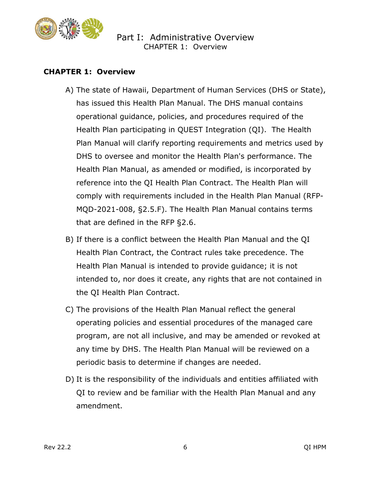

#### <span id="page-5-0"></span>**CHAPTER 1: Overview**

- A) The state of Hawaii, Department of Human Services (DHS or State), has issued this Health Plan Manual. The DHS manual contains operational guidance, policies, and procedures required of the Health Plan participating in QUEST Integration (QI). The Health Plan Manual will clarify reporting requirements and metrics used by DHS to oversee and monitor the Health Plan's performance. The Health Plan Manual, as amended or modified, is incorporated by reference into the QI Health Plan Contract. The Health Plan will comply with requirements included in the Health Plan Manual (RFP-MQD-2021-008, §2.5.F). The Health Plan Manual contains terms that are defined in the RFP §2.6.
- B) If there is a conflict between the Health Plan Manual and the QI Health Plan Contract, the Contract rules take precedence. The Health Plan Manual is intended to provide guidance; it is not intended to, nor does it create, any rights that are not contained in the QI Health Plan Contract.
- C) The provisions of the Health Plan Manual reflect the general operating policies and essential procedures of the managed care program, are not all inclusive, and may be amended or revoked at any time by DHS. The Health Plan Manual will be reviewed on a periodic basis to determine if changes are needed.
- D) It is the responsibility of the individuals and entities affiliated with QI to review and be familiar with the Health Plan Manual and any amendment.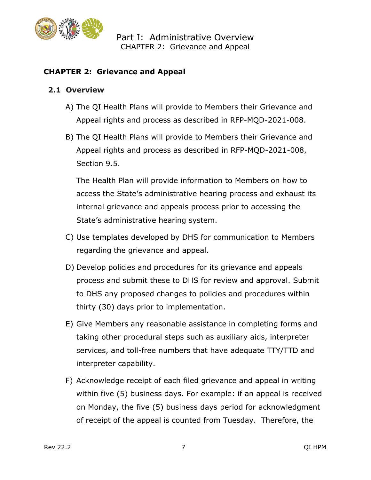

#### <span id="page-6-0"></span>**CHAPTER 2: Grievance and Appeal**

#### **2.1 Overview**

- A) The QI Health Plans will provide to Members their Grievance and Appeal rights and process as described in RFP-MQD-2021-008.
- B) The QI Health Plans will provide to Members their Grievance and Appeal rights and process as described in RFP-MQD-2021-008, Section 9.5.

The Health Plan will provide information to Members on how to access the State's administrative hearing process and exhaust its internal grievance and appeals process prior to accessing the State's administrative hearing system.

- C) Use templates developed by DHS for communication to Members regarding the grievance and appeal.
- D) Develop policies and procedures for its grievance and appeals process and submit these to DHS for review and approval. Submit to DHS any proposed changes to policies and procedures within thirty (30) days prior to implementation.
- E) Give Members any reasonable assistance in completing forms and taking other procedural steps such as auxiliary aids, interpreter services, and toll-free numbers that have adequate TTY/TTD and interpreter capability.
- F) Acknowledge receipt of each filed grievance and appeal in writing within five (5) business days. For example: if an appeal is received on Monday, the five (5) business days period for acknowledgment of receipt of the appeal is counted from Tuesday. Therefore, the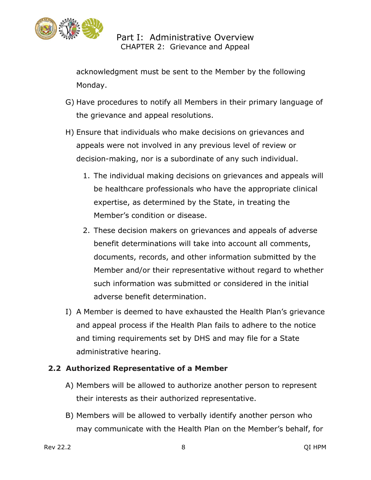

acknowledgment must be sent to the Member by the following Monday.

- G) Have procedures to notify all Members in their primary language of the grievance and appeal resolutions.
- H) Ensure that individuals who make decisions on grievances and appeals were not involved in any previous level of review or decision-making, nor is a subordinate of any such individual.
	- 1. The individual making decisions on grievances and appeals will be healthcare professionals who have the appropriate clinical expertise, as determined by the State, in treating the Member's condition or disease.
	- 2. These decision makers on grievances and appeals of adverse benefit determinations will take into account all comments, documents, records, and other information submitted by the Member and/or their representative without regard to whether such information was submitted or considered in the initial adverse benefit determination.
- I) A Member is deemed to have exhausted the Health Plan's grievance and appeal process if the Health Plan fails to adhere to the notice and timing requirements set by DHS and may file for a State administrative hearing.

#### **2.2 Authorized Representative of a Member**

- A) Members will be allowed to authorize another person to represent their interests as their authorized representative.
- B) Members will be allowed to verbally identify another person who may communicate with the Health Plan on the Member's behalf, for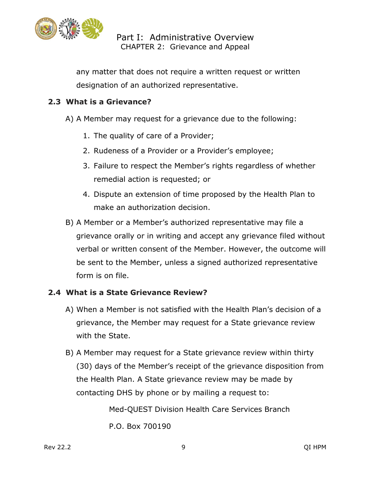

any matter that does not require a written request or written designation of an authorized representative.

#### **2.3 What is a Grievance?**

- A) A Member may request for a grievance due to the following:
	- 1. The quality of care of a Provider;
	- 2. Rudeness of a Provider or a Provider's employee;
	- 3. Failure to respect the Member's rights regardless of whether remedial action is requested; or
	- 4. Dispute an extension of time proposed by the Health Plan to make an authorization decision.
- B) A Member or a Member's authorized representative may file a grievance orally or in writing and accept any grievance filed without verbal or written consent of the Member. However, the outcome will be sent to the Member, unless a signed authorized representative form is on file.

#### **2.4 What is a State Grievance Review?**

- A) When a Member is not satisfied with the Health Plan's decision of a grievance, the Member may request for a State grievance review with the State.
- B) A Member may request for a State grievance review within thirty (30) days of the Member's receipt of the grievance disposition from the Health Plan. A State grievance review may be made by contacting DHS by phone or by mailing a request to:

Med-QUEST Division Health Care Services Branch P.O. Box 700190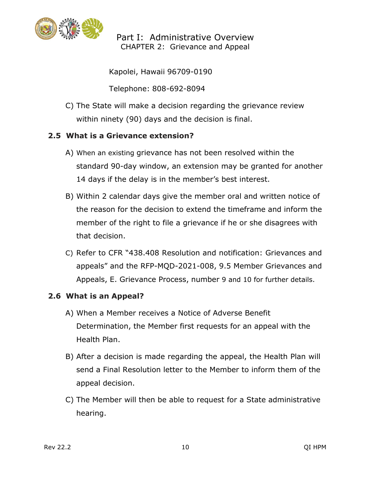

Kapolei, Hawaii 96709-0190

Telephone: 808-692-8094

C) The State will make a decision regarding the grievance review within ninety (90) days and the decision is final.

#### **2.5 What is a Grievance extension?**

- A) When an existing grievance has not been resolved within the standard 90-day window, an extension may be granted for another 14 days if the delay is in the member's best interest.
- B) Within 2 calendar days give the member oral and written notice of the reason for the decision to extend the timeframe and inform the member of the right to file a grievance if he or she disagrees with that decision.
- C) Refer to CFR "438.408 Resolution and notification: Grievances and appeals" and the RFP-MQD-2021-008, 9.5 Member Grievances and Appeals, E. Grievance Process, number 9 and 10 for further details.

#### **2.6 What is an Appeal?**

- A) When a Member receives a Notice of Adverse Benefit Determination, the Member first requests for an appeal with the Health Plan.
- B) After a decision is made regarding the appeal, the Health Plan will send a Final Resolution letter to the Member to inform them of the appeal decision.
- C) The Member will then be able to request for a State administrative hearing.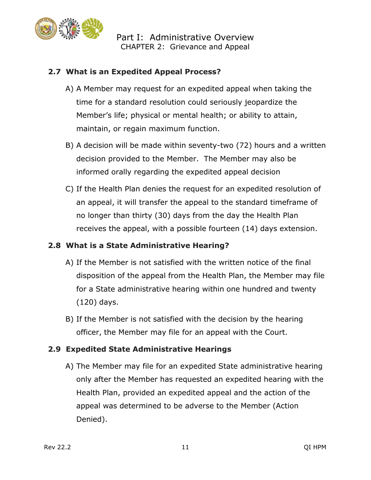

#### **2.7 What is an Expedited Appeal Process?**

- A) A Member may request for an expedited appeal when taking the time for a standard resolution could seriously jeopardize the Member's life; physical or mental health; or ability to attain, maintain, or regain maximum function.
- B) A decision will be made within seventy-two (72) hours and a written decision provided to the Member. The Member may also be informed orally regarding the expedited appeal decision
- C) If the Health Plan denies the request for an expedited resolution of an appeal, it will transfer the appeal to the standard timeframe of no longer than thirty (30) days from the day the Health Plan receives the appeal, with a possible fourteen (14) days extension.

#### **2.8 What is a State Administrative Hearing?**

- A) If the Member is not satisfied with the written notice of the final disposition of the appeal from the Health Plan, the Member may file for a State administrative hearing within one hundred and twenty (120) days.
- B) If the Member is not satisfied with the decision by the hearing officer, the Member may file for an appeal with the Court.

#### **2.9 Expedited State Administrative Hearings**

A) The Member may file for an expedited State administrative hearing only after the Member has requested an expedited hearing with the Health Plan, provided an expedited appeal and the action of the appeal was determined to be adverse to the Member (Action Denied).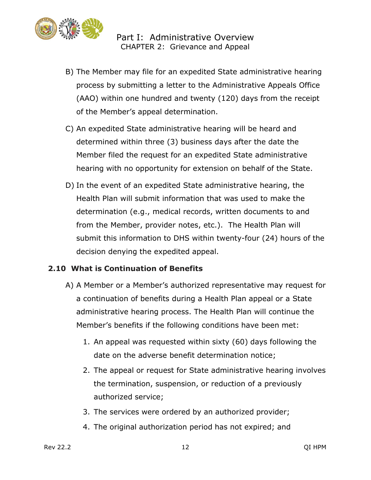

- B) The Member may file for an expedited State administrative hearing process by submitting a letter to the Administrative Appeals Office (AAO) within one hundred and twenty (120) days from the receipt of the Member's appeal determination.
- C) An expedited State administrative hearing will be heard and determined within three (3) business days after the date the Member filed the request for an expedited State administrative hearing with no opportunity for extension on behalf of the State.
- D) In the event of an expedited State administrative hearing, the Health Plan will submit information that was used to make the determination (e.g., medical records, written documents to and from the Member, provider notes, etc.). The Health Plan will submit this information to DHS within twenty-four (24) hours of the decision denying the expedited appeal.

#### **2.10 What is Continuation of Benefits**

- A) A Member or a Member's authorized representative may request for a continuation of benefits during a Health Plan appeal or a State administrative hearing process. The Health Plan will continue the Member's benefits if the following conditions have been met:
	- 1. An appeal was requested within sixty (60) days following the date on the adverse benefit determination notice;
	- 2. The appeal or request for State administrative hearing involves the termination, suspension, or reduction of a previously authorized service;
	- 3. The services were ordered by an authorized provider;
	- 4. The original authorization period has not expired; and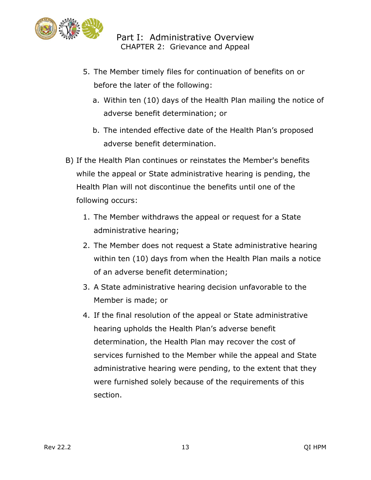

- 5. The Member timely files for continuation of benefits on or before the later of the following:
	- a. Within ten (10) days of the Health Plan mailing the notice of adverse benefit determination; or
	- b. The intended effective date of the Health Plan's proposed adverse benefit determination.
- B) If the Health Plan continues or reinstates the Member's benefits while the appeal or State administrative hearing is pending, the Health Plan will not discontinue the benefits until one of the following occurs:
	- 1. The Member withdraws the appeal or request for a State administrative hearing;
	- 2. The Member does not request a State administrative hearing within ten (10) days from when the Health Plan mails a notice of an adverse benefit determination;
	- 3. A State administrative hearing decision unfavorable to the Member is made; or
	- 4. If the final resolution of the appeal or State administrative hearing upholds the Health Plan's adverse benefit determination, the Health Plan may recover the cost of services furnished to the Member while the appeal and State administrative hearing were pending, to the extent that they were furnished solely because of the requirements of this section.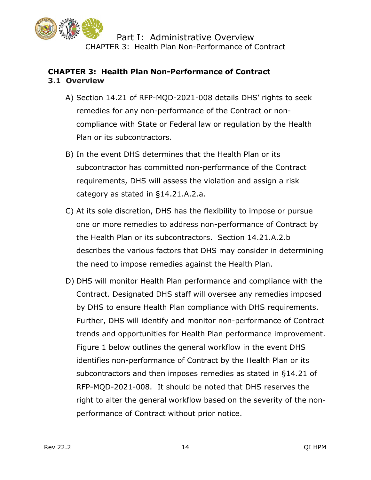

#### <span id="page-13-0"></span>**CHAPTER 3: Health Plan Non-Performance of Contract 3.1 Overview**

- A) Section 14.21 of RFP-MQD-2021-008 details DHS' rights to seek remedies for any non-performance of the Contract or noncompliance with State or Federal law or regulation by the Health Plan or its subcontractors.
- B) In the event DHS determines that the Health Plan or its subcontractor has committed non-performance of the Contract requirements, DHS will assess the violation and assign a risk category as stated in §14.21.A.2.a.
- C) At its sole discretion, DHS has the flexibility to impose or pursue one or more remedies to address non-performance of Contract by the Health Plan or its subcontractors. Section 14.21.A.2.b describes the various factors that DHS may consider in determining the need to impose remedies against the Health Plan.
- D) DHS will monitor Health Plan performance and compliance with the Contract. Designated DHS staff will oversee any remedies imposed by DHS to ensure Health Plan compliance with DHS requirements. Further, DHS will identify and monitor non-performance of Contract trends and opportunities for Health Plan performance improvement. Figure 1 below outlines the general workflow in the event DHS identifies non-performance of Contract by the Health Plan or its subcontractors and then imposes remedies as stated in §14.21 of RFP-MQD-2021-008. It should be noted that DHS reserves the right to alter the general workflow based on the severity of the nonperformance of Contract without prior notice.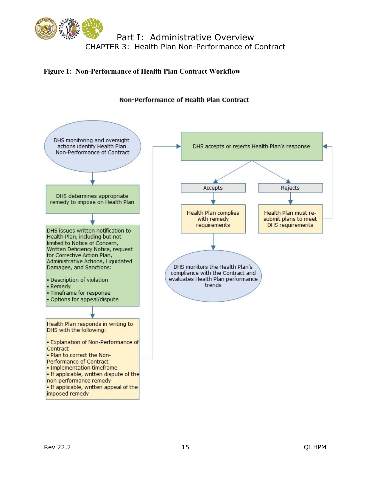

#### **Figure 1: Non-Performance of Health Plan Contract Workflow**



#### Non-Performance of Health Plan Contract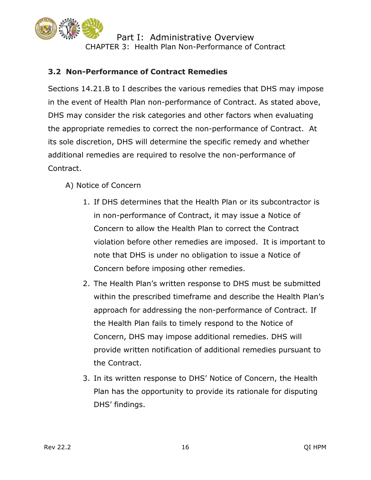

#### **3.2 Non-Performance of Contract Remedies**

Sections 14.21.B to I describes the various remedies that DHS may impose in the event of Health Plan non-performance of Contract. As stated above, DHS may consider the risk categories and other factors when evaluating the appropriate remedies to correct the non-performance of Contract. At its sole discretion, DHS will determine the specific remedy and whether additional remedies are required to resolve the non-performance of Contract.

- A) Notice of Concern
	- 1. If DHS determines that the Health Plan or its subcontractor is in non-performance of Contract, it may issue a Notice of Concern to allow the Health Plan to correct the Contract violation before other remedies are imposed. It is important to note that DHS is under no obligation to issue a Notice of Concern before imposing other remedies.
	- 2. The Health Plan's written response to DHS must be submitted within the prescribed timeframe and describe the Health Plan's approach for addressing the non-performance of Contract. If the Health Plan fails to timely respond to the Notice of Concern, DHS may impose additional remedies. DHS will provide written notification of additional remedies pursuant to the Contract.
	- 3. In its written response to DHS' Notice of Concern, the Health Plan has the opportunity to provide its rationale for disputing DHS' findings.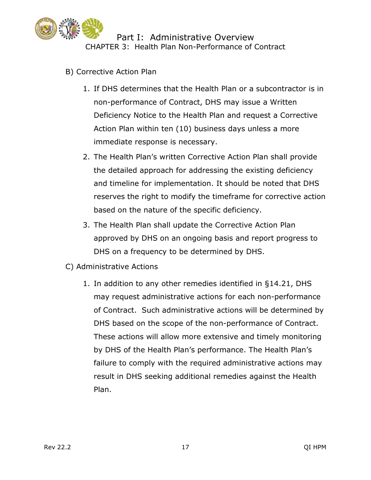

- B) Corrective Action Plan
	- 1. If DHS determines that the Health Plan or a subcontractor is in non-performance of Contract, DHS may issue a Written Deficiency Notice to the Health Plan and request a Corrective Action Plan within ten (10) business days unless a more immediate response is necessary.
	- 2. The Health Plan's written Corrective Action Plan shall provide the detailed approach for addressing the existing deficiency and timeline for implementation. It should be noted that DHS reserves the right to modify the timeframe for corrective action based on the nature of the specific deficiency.
	- 3. The Health Plan shall update the Corrective Action Plan approved by DHS on an ongoing basis and report progress to DHS on a frequency to be determined by DHS.
- C) Administrative Actions
	- 1. In addition to any other remedies identified in §14.21, DHS may request administrative actions for each non-performance of Contract. Such administrative actions will be determined by DHS based on the scope of the non-performance of Contract. These actions will allow more extensive and timely monitoring by DHS of the Health Plan's performance. The Health Plan's failure to comply with the required administrative actions may result in DHS seeking additional remedies against the Health Plan.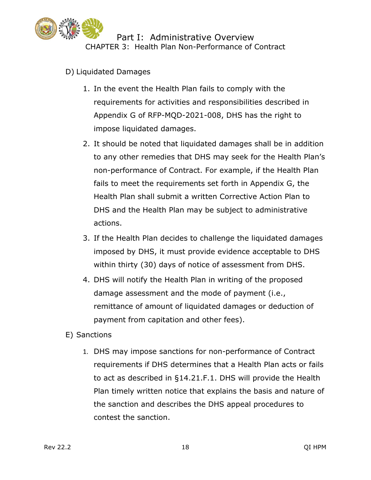

- D) Liquidated Damages
	- 1. In the event the Health Plan fails to comply with the requirements for activities and responsibilities described in Appendix G of RFP-MQD-2021-008, DHS has the right to impose liquidated damages.
	- 2. It should be noted that liquidated damages shall be in addition to any other remedies that DHS may seek for the Health Plan's non-performance of Contract. For example, if the Health Plan fails to meet the requirements set forth in Appendix G, the Health Plan shall submit a written Corrective Action Plan to DHS and the Health Plan may be subject to administrative actions.
	- 3. If the Health Plan decides to challenge the liquidated damages imposed by DHS, it must provide evidence acceptable to DHS within thirty (30) days of notice of assessment from DHS.
	- 4. DHS will notify the Health Plan in writing of the proposed damage assessment and the mode of payment (i.e., remittance of amount of liquidated damages or deduction of payment from capitation and other fees).
- E) Sanctions
	- 1. DHS may impose sanctions for non-performance of Contract requirements if DHS determines that a Health Plan acts or fails to act as described in §14.21.F.1. DHS will provide the Health Plan timely written notice that explains the basis and nature of the sanction and describes the DHS appeal procedures to contest the sanction.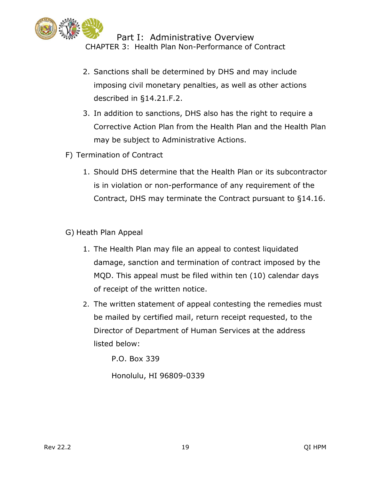

- 2. Sanctions shall be determined by DHS and may include imposing civil monetary penalties, as well as other actions described in §14.21.F.2.
- 3. In addition to sanctions, DHS also has the right to require a Corrective Action Plan from the Health Plan and the Health Plan may be subject to Administrative Actions.
- F) Termination of Contract
	- 1. Should DHS determine that the Health Plan or its subcontractor is in violation or non-performance of any requirement of the Contract, DHS may terminate the Contract pursuant to §14.16.
- G) Heath Plan Appeal
	- 1. The Health Plan may file an appeal to contest liquidated damage, sanction and termination of contract imposed by the MQD. This appeal must be filed within ten (10) calendar days of receipt of the written notice.
	- 2. The written statement of appeal contesting the remedies must be mailed by certified mail, return receipt requested, to the Director of Department of Human Services at the address listed below:

P.O. Box 339

Honolulu, HI 96809-0339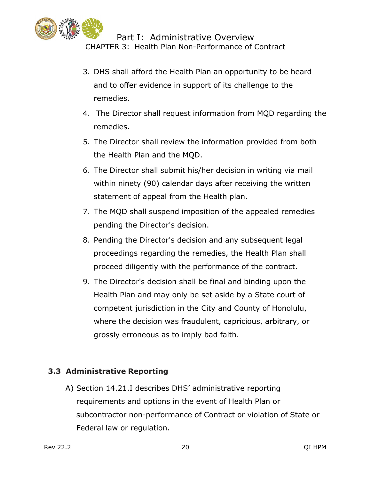

- 3. DHS shall afford the Health Plan an opportunity to be heard and to offer evidence in support of its challenge to the remedies.
- 4. The Director shall request information from MQD regarding the remedies.
- 5. The Director shall review the information provided from both the Health Plan and the MQD.
- 6. The Director shall submit his/her decision in writing via mail within ninety (90) calendar days after receiving the written statement of appeal from the Health plan.
- 7. The MQD shall suspend imposition of the appealed remedies pending the Director's decision.
- 8. Pending the Director's decision and any subsequent legal proceedings regarding the remedies, the Health Plan shall proceed diligently with the performance of the contract.
- 9. The Director's decision shall be final and binding upon the Health Plan and may only be set aside by a State court of competent jurisdiction in the City and County of Honolulu, where the decision was fraudulent, capricious, arbitrary, or grossly erroneous as to imply bad faith.

#### **3.3 Administrative Reporting**

A) Section 14.21.I describes DHS' administrative reporting requirements and options in the event of Health Plan or subcontractor non-performance of Contract or violation of State or Federal law or regulation.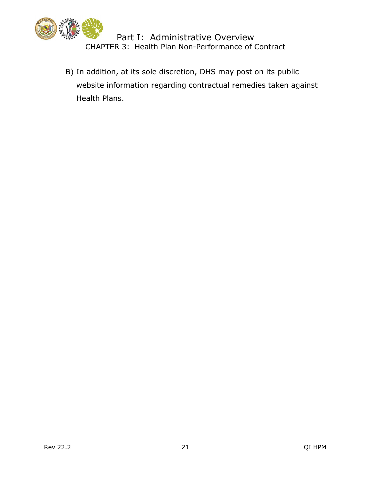

B) In addition, at its sole discretion, DHS may post on its public website information regarding contractual remedies taken against Health Plans.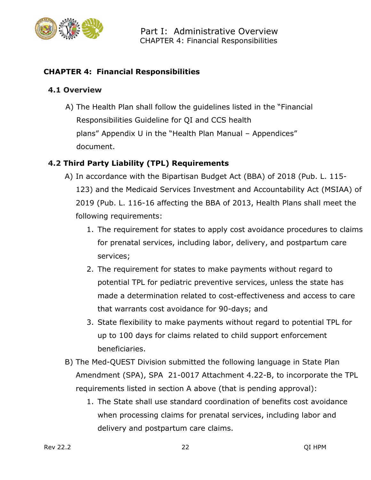

#### <span id="page-21-0"></span>**CHAPTER 4: Financial Responsibilities**

#### **4.1 Overview**

A) The Health Plan shall follow the guidelines listed in the "Financial Responsibilities Guideline for QI and CCS health plans" Appendix U in the "Health Plan Manual – Appendices" document.

#### **4.2 Third Party Liability (TPL) Requirements**

- A) In accordance with the Bipartisan Budget Act (BBA) of 2018 (Pub. L. 115- 123) and the Medicaid Services Investment and Accountability Act (MSIAA) of 2019 (Pub. L. 116-16 affecting the BBA of 2013, Health Plans shall meet the following requirements:
	- 1. The requirement for states to apply cost avoidance procedures to claims for prenatal services, including labor, delivery, and postpartum care services;
	- 2. The requirement for states to make payments without regard to potential TPL for pediatric preventive services, unless the state has made a determination related to cost-effectiveness and access to care that warrants cost avoidance for 90-days; and
	- 3. State flexibility to make payments without regard to potential TPL for up to 100 days for claims related to child support enforcement beneficiaries.
- B) The Med-QUEST Division submitted the following language in State Plan Amendment (SPA), SPA 21-0017 Attachment 4.22-B, to incorporate the TPL requirements listed in section A above (that is pending approval):
	- 1. The State shall use standard coordination of benefits cost avoidance when processing claims for prenatal services, including labor and delivery and postpartum care claims.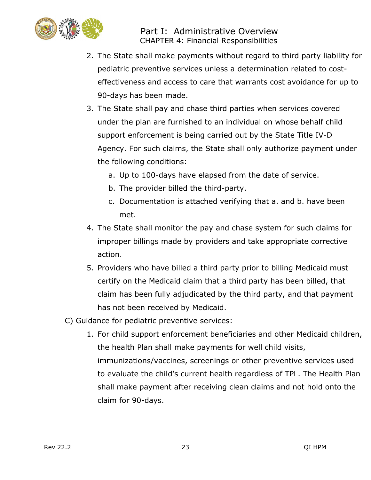

- 2. The State shall make payments without regard to third party liability for pediatric preventive services unless a determination related to costeffectiveness and access to care that warrants cost avoidance for up to 90-days has been made.
- 3. The State shall pay and chase third parties when services covered under the plan are furnished to an individual on whose behalf child support enforcement is being carried out by the State Title IV-D Agency. For such claims, the State shall only authorize payment under the following conditions:
	- a. Up to 100-days have elapsed from the date of service.
	- b. The provider billed the third-party.
	- c. Documentation is attached verifying that a. and b. have been met.
- 4. The State shall monitor the pay and chase system for such claims for improper billings made by providers and take appropriate corrective action.
- 5. Providers who have billed a third party prior to billing Medicaid must certify on the Medicaid claim that a third party has been billed, that claim has been fully adjudicated by the third party, and that payment has not been received by Medicaid.
- C) Guidance for pediatric preventive services:
	- 1. For child support enforcement beneficiaries and other Medicaid children, the health Plan shall make payments for well child visits, immunizations/vaccines, screenings or other preventive services used to evaluate the child's current health regardless of TPL. The Health Plan shall make payment after receiving clean claims and not hold onto the claim for 90-days.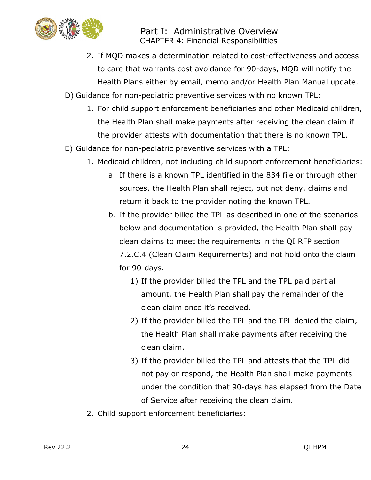

- 2. If MQD makes a determination related to cost-effectiveness and access to care that warrants cost avoidance for 90-days, MQD will notify the Health Plans either by email, memo and/or Health Plan Manual update.
- D) Guidance for non-pediatric preventive services with no known TPL:
	- 1. For child support enforcement beneficiaries and other Medicaid children, the Health Plan shall make payments after receiving the clean claim if the provider attests with documentation that there is no known TPL.
- E) Guidance for non-pediatric preventive services with a TPL:
	- 1. Medicaid children, not including child support enforcement beneficiaries:
		- a. If there is a known TPL identified in the 834 file or through other sources, the Health Plan shall reject, but not deny, claims and return it back to the provider noting the known TPL.
		- b. If the provider billed the TPL as described in one of the scenarios below and documentation is provided, the Health Plan shall pay clean claims to meet the requirements in the QI RFP section 7.2.C.4 (Clean Claim Requirements) and not hold onto the claim for 90-days.
			- 1) If the provider billed the TPL and the TPL paid partial amount, the Health Plan shall pay the remainder of the clean claim once it's received.
			- 2) If the provider billed the TPL and the TPL denied the claim, the Health Plan shall make payments after receiving the clean claim.
			- 3) If the provider billed the TPL and attests that the TPL did not pay or respond, the Health Plan shall make payments under the condition that 90-days has elapsed from the Date of Service after receiving the clean claim.
	- 2. Child support enforcement beneficiaries: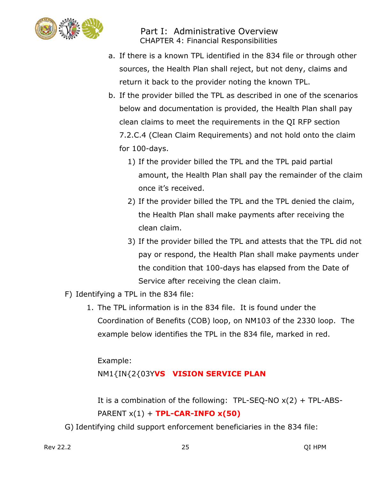

- a. If there is a known TPL identified in the 834 file or through other sources, the Health Plan shall reject, but not deny, claims and return it back to the provider noting the known TPL.
- b. If the provider billed the TPL as described in one of the scenarios below and documentation is provided, the Health Plan shall pay clean claims to meet the requirements in the QI RFP section 7.2.C.4 (Clean Claim Requirements) and not hold onto the claim for 100-days.
	- 1) If the provider billed the TPL and the TPL paid partial amount, the Health Plan shall pay the remainder of the claim once it's received.
	- 2) If the provider billed the TPL and the TPL denied the claim, the Health Plan shall make payments after receiving the clean claim.
	- 3) If the provider billed the TPL and attests that the TPL did not pay or respond, the Health Plan shall make payments under the condition that 100-days has elapsed from the Date of Service after receiving the clean claim.
- F) Identifying a TPL in the 834 file:
	- 1. The TPL information is in the 834 file. It is found under the Coordination of Benefits (COB) loop, on NM103 of the 2330 loop. The example below identifies the TPL in the 834 file, marked in red.

Example:

NM1{IN{2{03Y**VS VISION SERVICE PLAN**

It is a combination of the following: TPL-SEQ-NO  $x(2)$  + TPL-ABS-PARENT x(1) + **TPL-CAR-INFO x(50)**

G) Identifying child support enforcement beneficiaries in the 834 file: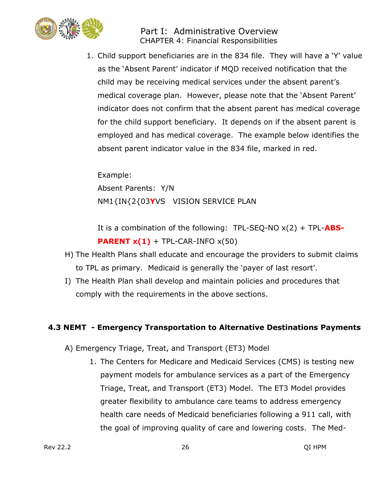

1. Child support beneficiaries are in the 834 file. They will have a 'Y' value as the 'Absent Parent' indicator if MQD received notification that the child may be receiving medical services under the absent parent's medical coverage plan. However, please note that the 'Absent Parent' indicator does not confirm that the absent parent has medical coverage for the child support beneficiary. It depends on if the absent parent is employed and has medical coverage. The example below identifies the absent parent indicator value in the 834 file, marked in red.

Example: Absent Parents: Y/N NM1{IN{2{03**Y**VS VISION SERVICE PLAN

It is a combination of the following: TPL-SEQ-NO x(2) + TPL-**ABS-PARENT**  $x(1)$  + TPL-CAR-INFO  $x(50)$ 

- H) The Health Plans shall educate and encourage the providers to submit claims to TPL as primary. Medicaid is generally the 'payer of last resort'.
- I) The Health Plan shall develop and maintain policies and procedures that comply with the requirements in the above sections.

#### **4.3 NEMT - Emergency Transportation to Alternative Destinations Payments**

- A) Emergency Triage, Treat, and Transport (ET3) Model
	- 1. The Centers for Medicare and Medicaid Services (CMS) is testing new payment models for ambulance services as a part of the Emergency Triage, Treat, and Transport (ET3) Model. The ET3 Model provides greater flexibility to ambulance care teams to address emergency health care needs of Medicaid beneficiaries following a 911 call, with the goal of improving quality of care and lowering costs. The Med-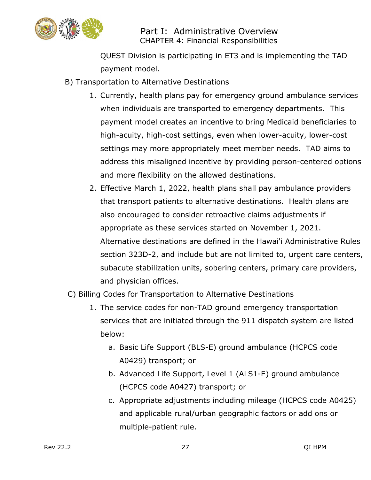

QUEST Division is participating in ET3 and is implementing the TAD payment model.

- B) Transportation to Alternative Destinations
	- 1. Currently, health plans pay for emergency ground ambulance services when individuals are transported to emergency departments. This payment model creates an incentive to bring Medicaid beneficiaries to high-acuity, high-cost settings, even when lower-acuity, lower-cost settings may more appropriately meet member needs. TAD aims to address this misaligned incentive by providing person-centered options and more flexibility on the allowed destinations.
	- 2. Effective March 1, 2022, health plans shall pay ambulance providers that transport patients to alternative destinations. Health plans are also encouraged to consider retroactive claims adjustments if appropriate as these services started on November 1, 2021. Alternative destinations are defined in the Hawai'i Administrative Rules section 323D-2, and include but are not limited to, urgent care centers, subacute stabilization units, sobering centers, primary care providers, and physician offices.
- C) Billing Codes for Transportation to Alternative Destinations
	- 1. The service codes for non-TAD ground emergency transportation services that are initiated through the 911 dispatch system are listed below:
		- a. Basic Life Support (BLS-E) ground ambulance (HCPCS code A0429) transport; or
		- b. Advanced Life Support, Level 1 (ALS1-E) ground ambulance (HCPCS code A0427) transport; or
		- c. Appropriate adjustments including mileage (HCPCS code A0425) and applicable rural/urban geographic factors or add ons or multiple-patient rule.